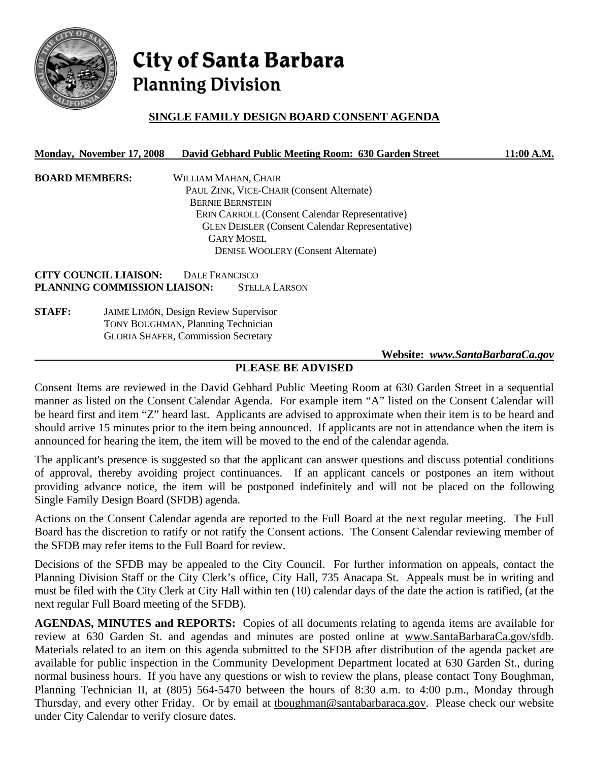

# City of Santa Barbara **Planning Division**

# **SINGLE FAMILY DESIGN BOARD CONSENT AGENDA**

#### **Monday, November 17, 2008 David Gebhard Public Meeting Room: 630 Garden Street 11:00 A.M.**

**BOARD MEMBERS:** WILLIAM MAHAN, CHAIR PAUL ZINK, VICE-CHAIR (Consent Alternate) BERNIE BERNSTEIN ERIN CARROLL (Consent Calendar Representative) GLEN DEISLER (Consent Calendar Representative) GARY MOSEL DENISE WOOLERY (Consent Alternate)

**CITY COUNCIL LIAISON:** DALE FRANCISCO **PLANNING COMMISSION LIAISON:** STELLA LARSON

**STAFF:** JAIME LIMÓN, Design Review Supervisor TONY BOUGHMAN, Planning Technician GLORIA SHAFER, Commission Secretary

 **Website:** *www.SantaBarbaraCa.gov*

# **PLEASE BE ADVISED**

Consent Items are reviewed in the David Gebhard Public Meeting Room at 630 Garden Street in a sequential manner as listed on the Consent Calendar Agenda. For example item "A" listed on the Consent Calendar will be heard first and item "Z" heard last. Applicants are advised to approximate when their item is to be heard and should arrive 15 minutes prior to the item being announced. If applicants are not in attendance when the item is announced for hearing the item, the item will be moved to the end of the calendar agenda.

The applicant's presence is suggested so that the applicant can answer questions and discuss potential conditions of approval, thereby avoiding project continuances. If an applicant cancels or postpones an item without providing advance notice, the item will be postponed indefinitely and will not be placed on the following Single Family Design Board (SFDB) agenda.

Actions on the Consent Calendar agenda are reported to the Full Board at the next regular meeting. The Full Board has the discretion to ratify or not ratify the Consent actions. The Consent Calendar reviewing member of the SFDB may refer items to the Full Board for review.

Decisions of the SFDB may be appealed to the City Council. For further information on appeals, contact the Planning Division Staff or the City Clerk's office, City Hall, 735 Anacapa St. Appeals must be in writing and must be filed with the City Clerk at City Hall within ten (10) calendar days of the date the action is ratified, (at the next regular Full Board meeting of the SFDB).

**AGENDAS, MINUTES and REPORTS:** Copies of all documents relating to agenda items are available for review at 630 Garden St. and agendas and minutes are posted online at www.SantaBarbaraCa.gov/sfdb. Materials related to an item on this agenda submitted to the SFDB after distribution of the agenda packet are available for public inspection in the Community Development Department located at 630 Garden St., during normal business hours. If you have any questions or wish to review the plans, please contact Tony Boughman, Planning Technician II, at (805) 564-5470 between the hours of 8:30 a.m. to 4:00 p.m., Monday through Thursday, and every other Friday. Or by email at tboughman@santabarbaraca.gov. Please check our website under City Calendar to verify closure dates.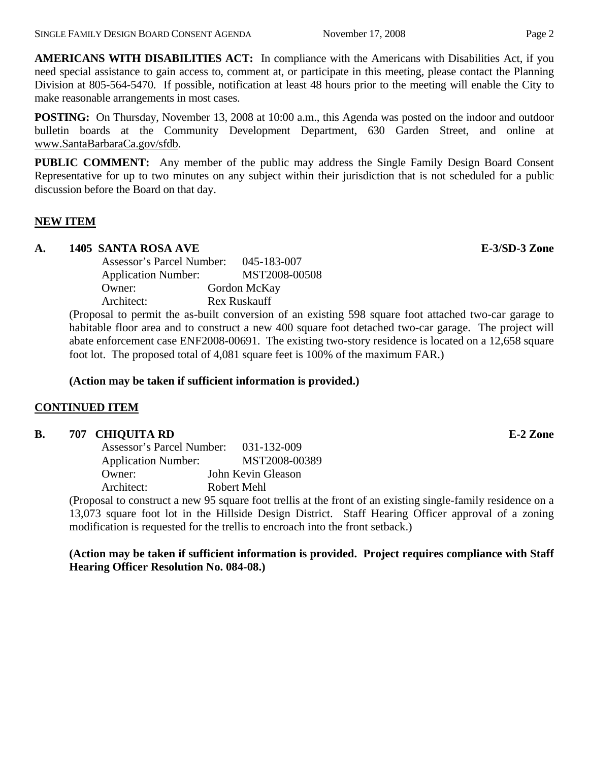**AMERICANS WITH DISABILITIES ACT:** In compliance with the Americans with Disabilities Act, if you need special assistance to gain access to, comment at, or participate in this meeting, please contact the Planning Division at 805-564-5470. If possible, notification at least 48 hours prior to the meeting will enable the City to make reasonable arrangements in most cases.

**POSTING:** On Thursday, November 13, 2008 at 10:00 a.m., this Agenda was posted on the indoor and outdoor bulletin boards at the Community Development Department, 630 Garden Street, and online at www.SantaBarbaraCa.gov/sfdb.

**PUBLIC COMMENT:** Any member of the public may address the Single Family Design Board Consent Representative for up to two minutes on any subject within their jurisdiction that is not scheduled for a public discussion before the Board on that day.

# **NEW ITEM**

# **A. 1405 SANTA ROSA AVE E-3/SD-3 Zone**

| Assessor's Parcel Number:<br>045-183-007 |
|------------------------------------------|
| MST2008-00508                            |
| Gordon McKay                             |
| Rex Ruskauff                             |
|                                          |

(Proposal to permit the as-built conversion of an existing 598 square foot attached two-car garage to habitable floor area and to construct a new 400 square foot detached two-car garage. The project will abate enforcement case ENF2008-00691. The existing two-story residence is located on a 12,658 square foot lot. The proposed total of 4,081 square feet is 100% of the maximum FAR.)

## **(Action may be taken if sufficient information is provided.)**

# **CONTINUED ITEM**

#### **B. 707 CHIQUITA RD E-2 Zone**

| Assessor's Parcel Number:  | $031 - 132 - 009$  |
|----------------------------|--------------------|
| <b>Application Number:</b> | MST2008-00389      |
| Owner:                     | John Kevin Gleason |
| Architect:                 | Robert Mehl        |

(Proposal to construct a new 95 square foot trellis at the front of an existing single-family residence on a 13,073 square foot lot in the Hillside Design District. Staff Hearing Officer approval of a zoning modification is requested for the trellis to encroach into the front setback.)

# **(Action may be taken if sufficient information is provided. Project requires compliance with Staff Hearing Officer Resolution No. 084-08.)**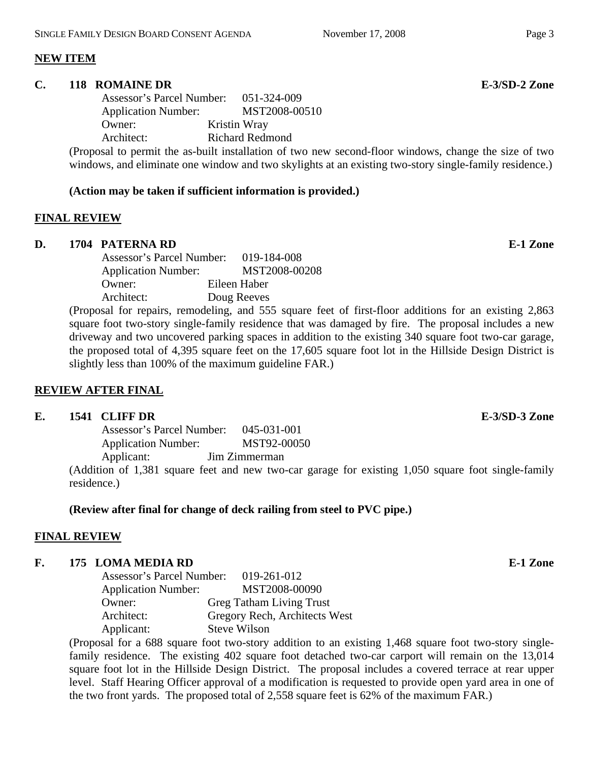## **NEW ITEM**

#### **C. 118 ROMAINE DR E-3/SD-2 Zone**

 Assessor's Parcel Number: 051-324-009 Application Number: MST2008-00510 Owner: Kristin Wray Architect: Richard Redmond

(Proposal to permit the as-built installation of two new second-floor windows, change the size of two windows, and eliminate one window and two skylights at an existing two-story single-family residence.)

## **(Action may be taken if sufficient information is provided.)**

## **FINAL REVIEW**

#### **D. 1704 PATERNA RD E-1 Zone**

| Assessor's Parcel Number:  | 019-184-008   |
|----------------------------|---------------|
| <b>Application Number:</b> | MST2008-00208 |
| Owner:                     | Eileen Haber  |
| Architect:                 | Doug Reeves   |

(Proposal for repairs, remodeling, and 555 square feet of first-floor additions for an existing 2,863 square foot two-story single-family residence that was damaged by fire. The proposal includes a new driveway and two uncovered parking spaces in addition to the existing 340 square foot two-car garage, the proposed total of 4,395 square feet on the 17,605 square foot lot in the Hillside Design District is slightly less than 100% of the maximum guideline FAR.)

# **REVIEW AFTER FINAL**

#### **E. 1541 CLIFF DR E-3/SD-3 Zone**

 Assessor's Parcel Number: 045-031-001 Application Number: MST92-00050 Applicant: Jim Zimmerman

(Addition of 1,381 square feet and new two-car garage for existing 1,050 square foot single-family residence.)

# **(Review after final for change of deck railing from steel to PVC pipe.)**

# **FINAL REVIEW**

# **F. 175 LOMA MEDIA RD E-1 Zone**

| Assessor's Parcel Number:  | 019-261-012                     |
|----------------------------|---------------------------------|
| <b>Application Number:</b> | MST2008-00090                   |
| Owner:                     | <b>Greg Tatham Living Trust</b> |
| Architect:                 | Gregory Rech, Architects West   |
| Applicant:                 | <b>Steve Wilson</b>             |

(Proposal for a 688 square foot two-story addition to an existing 1,468 square foot two-story singlefamily residence. The existing 402 square foot detached two-car carport will remain on the 13,014 square foot lot in the Hillside Design District. The proposal includes a covered terrace at rear upper level. Staff Hearing Officer approval of a modification is requested to provide open yard area in one of the two front yards. The proposed total of 2,558 square feet is 62% of the maximum FAR.)